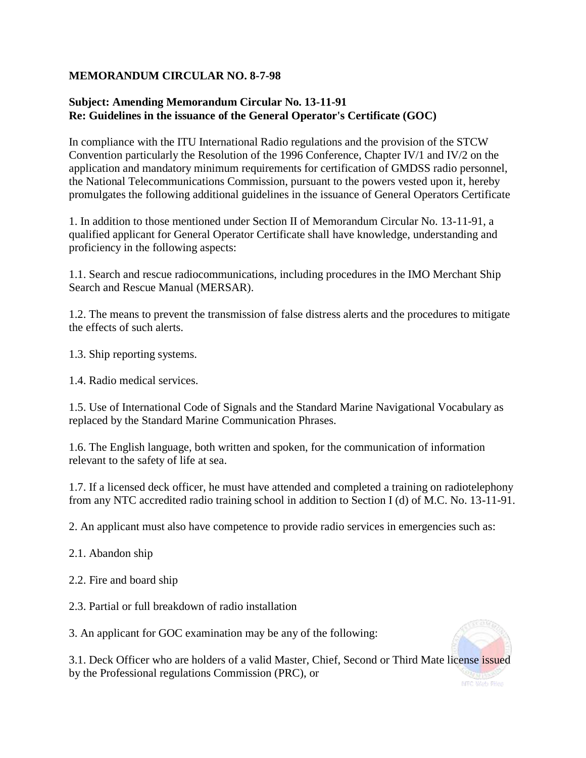## **MEMORANDUM CIRCULAR NO. 8-7-98**

## **Subject: Amending Memorandum Circular No. 13-11-91 Re: Guidelines in the issuance of the General Operator's Certificate (GOC)**

In compliance with the ITU International Radio regulations and the provision of the STCW Convention particularly the Resolution of the 1996 Conference, Chapter IV/1 and IV/2 on the application and mandatory minimum requirements for certification of GMDSS radio personnel, the National Telecommunications Commission, pursuant to the powers vested upon it, hereby promulgates the following additional guidelines in the issuance of General Operators Certificate

1. In addition to those mentioned under Section II of Memorandum Circular No. 13-11-91, a qualified applicant for General Operator Certificate shall have knowledge, understanding and proficiency in the following aspects:

1.1. Search and rescue radiocommunications, including procedures in the IMO Merchant Ship Search and Rescue Manual (MERSAR).

1.2. The means to prevent the transmission of false distress alerts and the procedures to mitigate the effects of such alerts.

1.3. Ship reporting systems.

1.4. Radio medical services.

1.5. Use of International Code of Signals and the Standard Marine Navigational Vocabulary as replaced by the Standard Marine Communication Phrases.

1.6. The English language, both written and spoken, for the communication of information relevant to the safety of life at sea.

1.7. If a licensed deck officer, he must have attended and completed a training on radiotelephony from any NTC accredited radio training school in addition to Section I (d) of M.C. No. 13-11-91.

2. An applicant must also have competence to provide radio services in emergencies such as:

- 2.1. Abandon ship
- 2.2. Fire and board ship
- 2.3. Partial or full breakdown of radio installation

3. An applicant for GOC examination may be any of the following:



3.1. Deck Officer who are holders of a valid Master, Chief, Second or Third Mate license issued by the Professional regulations Commission (PRC), or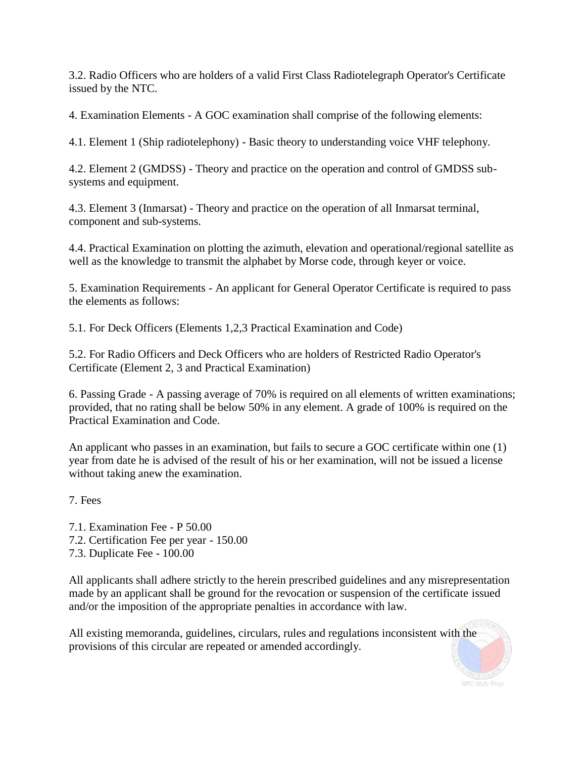3.2. Radio Officers who are holders of a valid First Class Radiotelegraph Operator's Certificate issued by the NTC.

4. Examination Elements - A GOC examination shall comprise of the following elements:

4.1. Element 1 (Ship radiotelephony) - Basic theory to understanding voice VHF telephony.

4.2. Element 2 (GMDSS) - Theory and practice on the operation and control of GMDSS subsystems and equipment.

4.3. Element 3 (Inmarsat) - Theory and practice on the operation of all Inmarsat terminal, component and sub-systems.

4.4. Practical Examination on plotting the azimuth, elevation and operational/regional satellite as well as the knowledge to transmit the alphabet by Morse code, through keyer or voice.

5. Examination Requirements - An applicant for General Operator Certificate is required to pass the elements as follows:

5.1. For Deck Officers (Elements 1,2,3 Practical Examination and Code)

5.2. For Radio Officers and Deck Officers who are holders of Restricted Radio Operator's Certificate (Element 2, 3 and Practical Examination)

6. Passing Grade - A passing average of 70% is required on all elements of written examinations; provided, that no rating shall be below 50% in any element. A grade of 100% is required on the Practical Examination and Code.

An applicant who passes in an examination, but fails to secure a GOC certificate within one (1) year from date he is advised of the result of his or her examination, will not be issued a license without taking anew the examination.

7. Fees

7.1. Examination Fee - P 50.00 7.2. Certification Fee per year - 150.00 7.3. Duplicate Fee - 100.00

All applicants shall adhere strictly to the herein prescribed guidelines and any misrepresentation made by an applicant shall be ground for the revocation or suspension of the certificate issued and/or the imposition of the appropriate penalties in accordance with law.

All existing memoranda, guidelines, circulars, rules and regulations inconsistent with the provisions of this circular are repeated or amended accordingly.